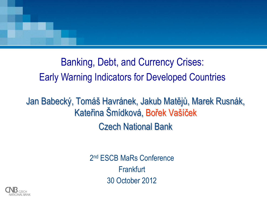

Banking, Debt, and Currency Crises: Early Warning Indicators for Developed Countries

Jan Babecký, Tomáš Havránek, Jakub Matějů, Marek Rusnák, Kateřina Šmídková, Bořek Vašíček Czech National Bank

> 2<sup>nd</sup> ESCB MaRs Conference **Frankfurt** 30 October 2012

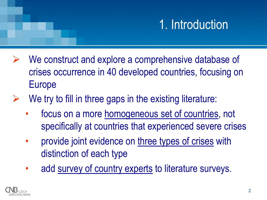# 1. Introduction

- We construct and explore a comprehensive database of crises occurrence in 40 developed countries, focusing on Europe
- We try to fill in three gaps in the existing literature:
	- focus on a more homogeneous set of countries, not specifically at countries that experienced severe crises
	- provide joint evidence on three types of crises with distinction of each type
	- add survey of country experts to literature surveys.

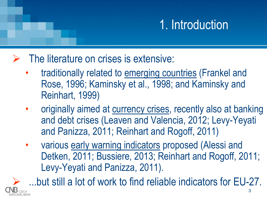# 1. Introduction

- The literature on crises is extensive:
	- traditionally related to emerging countries (Frankel and Rose, 1996; Kaminsky et al., 1998; and Kaminsky and Reinhart, 1999)
	- originally aimed at currency crises, recently also at banking and debt crises (Leaven and Valencia, 2012; Levy-Yeyati and Panizza, 2011; Reinhart and Rogoff, 2011)
	- various early warning indicators proposed (Alessi and Detken, 2011; Bussiere, 2013; Reinhart and Rogoff, 2011; Levy-Yeyati and Panizza, 2011).

3 ...but still a lot of work to find reliable indicators for EU-27.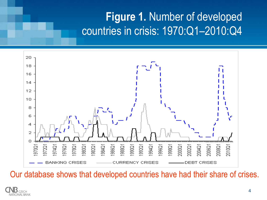#### **Figure 1.** Number of developed countries in crisis: 1970:Q1–2010:Q4



Our database shows that developed countries have had their share of crises.

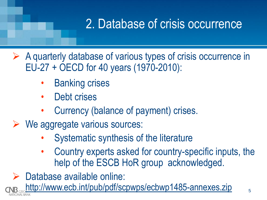# 2. Database of crisis occurrence

 $\triangleright$  A quarterly database of various types of crisis occurrence in EU-27 + OECD for 40 years (1970-2010):

- **Banking crises**
- Debt crises
- Currency (balance of payment) crises.
- $\triangleright$  We aggregate various sources:
	- Systematic synthesis of the literature
	- Country experts asked for country-specific inputs, the help of the ESCB HoR group acknowledged.

Database available online:

http://www.ecb.int/pub/pdf/scpwps/ecbwp1485-annexes.zip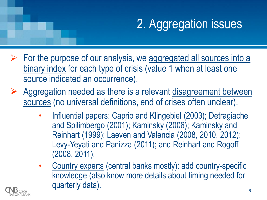# 2. Aggregation issues

- $\triangleright$  For the purpose of our analysis, we aggregated all sources into a binary index for each type of crisis (value 1 when at least one source indicated an occurrence).
- $\triangleright$  Aggregation needed as there is a relevant disagreement between sources (no universal definitions, end of crises often unclear).
	- Influential papers: Caprio and Klingebiel (2003); Detragiache and Spilimbergo (2001); Kaminsky (2006); Kaminsky and Reinhart (1999); Laeven and Valencia (2008, 2010, 2012); Levy-Yeyati and Panizza (2011); and Reinhart and Rogoff (2008, 2011).
	- Country experts (central banks mostly): add country-specific knowledge (also know more details about timing needed for quarterly data).

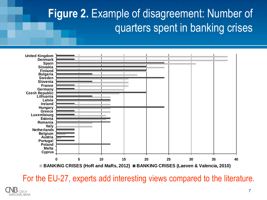## **Figure 2.** Example of disagreement: Number of quarters spent in banking crises



For the EU-27, experts add interesting views compared to the literature.

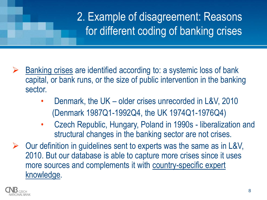## 2. Example of disagreement: Reasons for different coding of banking crises

- $\triangleright$  Banking crises are identified according to: a systemic loss of bank capital, or bank runs, or the size of public intervention in the banking sector.
	- Denmark, the UK older crises unrecorded in L&V, 2010 (Denmark 1987Q1-1992Q4, the UK 1974Q1-1976Q4)
	- Czech Republic, Hungary, Poland in 1990s liberalization and structural changes in the banking sector are not crises.
- $\triangleright$  Our definition in guidelines sent to experts was the same as in L&V, 2010. But our database is able to capture more crises since it uses more sources and complements it with country-specific expert knowledge.

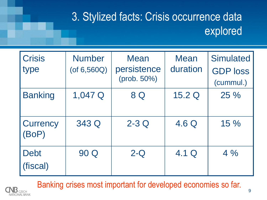## 3. Stylized facts: Crisis occurrence data explored

| <b>Crisis</b><br>type   | <b>Number</b><br>$($ of 6,560 $Q$ $)$ | <b>Mean</b><br>persistence<br>(prob. 50%) | <b>Mean</b><br>duration | <b>Simulated</b><br><b>GDP loss</b><br>(cummul.) |
|-------------------------|---------------------------------------|-------------------------------------------|-------------------------|--------------------------------------------------|
| <b>Banking</b>          | 1,047 Q                               | 8 Q                                       | 15.2 Q                  | 25 %                                             |
| Currency<br>(BoP)       | 343 Q                                 | $2-3Q$                                    | 4.6 Q                   | 15 %                                             |
| <b>Debt</b><br>(fiscal) | 90 Q                                  | $2 - Q$                                   | 4.1 Q                   | 4%                                               |

Banking crises most important for developed economies so far.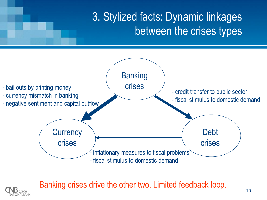## 3. Stylized facts: Dynamic linkages between the crises types



Banking crises drive the other two. Limited feedback loop.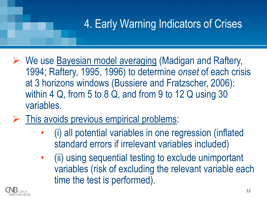## 4. Early Warning Indicators of Crises

- ▶ We use Bayesian model averaging (Madigan and Raftery, 1994; Raftery, 1995, 1996) to determine *onset* of each crisis at 3 horizons windows (Bussiere and Fratzscher, 2006): within 4 Q, from 5 to 8 Q, and from 9 to 12 Q using 30 variables.
- $\triangleright$  This avoids previous empirical problems:
	- (i) all potential variables in one regression (inflated standard errors if irrelevant variables included)
	- (ii) using sequential testing to exclude unimportant variables (risk of excluding the relevant variable each time the test is performed).

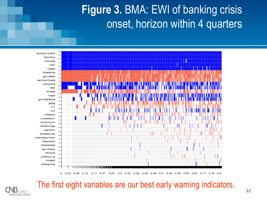#### **Figure 3.** BMA: EWI of banking crisis onset, horizon within 4 quarters



The first eight variables are our best early warning indicators.

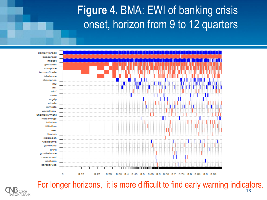#### **Figure 4.** BMA: EWI of banking crisis onset, horizon from 9 to 12 quarters



C<sub>7</sub>FCH

For longer horizons, it is more difficult to find early warning indicators.13 **NATIONAL BANK**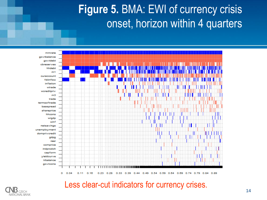#### **Figure 5.** BMA: EWI of currency crisis onset, horizon within 4 quarters



Less clear-cut indicators for currency crises.

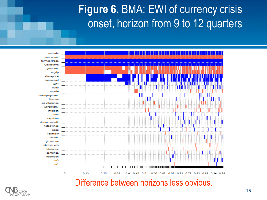#### **Figure 6.** BMA: EWI of currency crisis onset, horizon from 9 to 12 quarters



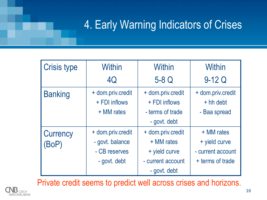## 4. Early Warning Indicators of Crises

| <b>Crisis type</b>       | Within                                           | <b>Within</b>                                          | Within                                           |
|--------------------------|--------------------------------------------------|--------------------------------------------------------|--------------------------------------------------|
|                          | 4Q                                               | $5-8Q$                                                 | $9-12Q$                                          |
| <b>Banking</b>           | + dom.priv.credit<br>+ FDI inflows<br>+ MM rates | + dom.priv.credit<br>+ FDI inflows<br>- terms of trade | + dom.priv.credit<br>$+$ hh debt<br>- Baa spread |
|                          |                                                  | - govt. debt                                           |                                                  |
| <b>Currency</b><br>(BoP) | + dom.priv.credit<br>- govt. balance             | + dom.priv.credit<br>+ MM rates                        | + MM rates<br>+ yield curve                      |
|                          | - CB reserves                                    | + yield curve                                          | - current account                                |
|                          | - govt. debt                                     | - current account                                      | + terms of trade                                 |
|                          |                                                  | - govt. debt                                           |                                                  |

Private credit seems to predict well across crises and horizons.

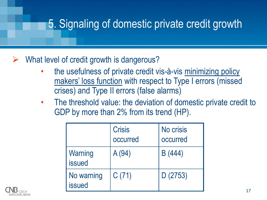## 5. Signaling of domestic private credit growth

#### What level of credit growth is dangerous?

- the usefulness of private credit vis-à-vis minimizing policy makers' loss function with respect to Type I errors (missed crises) and Type II errors (false alarms)
- The threshold value: the deviation of domestic private credit to GDP by more than 2% from its trend (HP).

|                             | <b>Crisis</b><br>occurred | No crisis<br>occurred |
|-----------------------------|---------------------------|-----------------------|
| Warning<br><b>issued</b>    | A (94)                    | B (444)               |
| No warning<br><b>issued</b> | C(71)                     | D(2753)               |